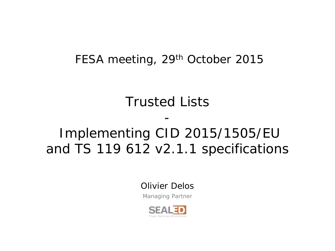# FESA meeting, 29<sup>th</sup> October 2015

# Trusted Lists

-

# Implementing CID 2015/1505/EU and TS 119 612 v2.1.1 specifications

Olivier Delos

Managing Partner

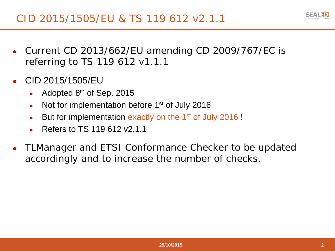- Current CD 2013/662/EU amending CD 2009/767/EC is referring to TS 119 612 v1.1.1
- CID 2015/1505/EU
	- Adopted  $8<sup>th</sup>$  of Sep. 2015
	- Not for implementation before  $1<sup>st</sup>$  of July 2016
	- But for implementation exactly on the 1<sup>st</sup> of July 2016 !
	- Refers to TS 119 612 v2.1.1
- TLManager and ETSI Conformance Checker to be updated accordingly and to increase the number of checks.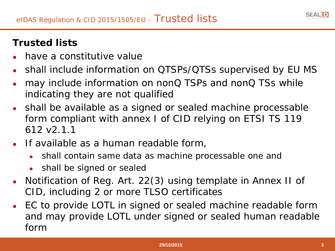# **Trusted lists**

- have a constitutive value
- shall include information on QTSPs/QTSs supervised by EU MS
- may include information on nonQ TSPs and nonQ TSs while indicating they are not qualified
- shall be available as a signed or sealed machine processable form compliant with annex I of CID relying on ETSI TS 119 612 v2.1.1
- If available as a human readable form,
	- shall contain same data as machine processable one and
	- shall be signed or sealed
- Notification of Reg. Art. 22(3) using template in Annex II of CID, including 2 or more TLSO certificates
- EC to provide LOTL in signed or sealed machine readable form and may provide LOTL under signed or sealed human readable form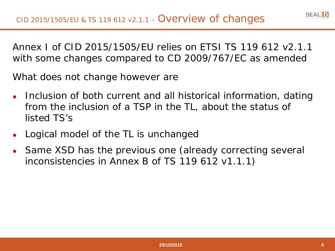Annex I of CID 2015/1505/EU relies on ETSI TS 119 612 v2.1.1 with some changes compared to CD 2009/767/EC as amended

What does not change however are

- Inclusion of both current and all historical information, dating from the inclusion of a TSP in the TL, about the status of listed TS's
- Logical model of the TL is unchanged
- Same XSD has the previous one (already correcting several inconsistencies in Annex B of TS 119 612 v1.1.1)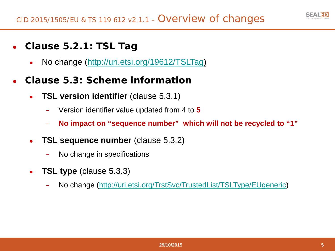

- **Clause 5.2.1: TSL Tag**
	- No change ([http://uri.etsi.org/19612/TSLTag\)](http://uri.etsi.org/19612/TSLTag)
- **Clause 5.3: Scheme information**
	- **TSL version identifier** (clause 5.3.1)
		- − Version identifier value updated from 4 to **5**
		- − **No impact on "sequence number" which will not be recycled to "1"**
	- **TSL sequence number** (clause 5.3.2)
		- No change in specifications
	- **TSL type** (clause 5.3.3)
		- − No change ([http://uri.etsi.org/TrstSvc/TrustedList/TSLType/EUgeneric\)](http://uri.etsi.org/TrstSvc/TrustedList/TSLType/EUgeneric)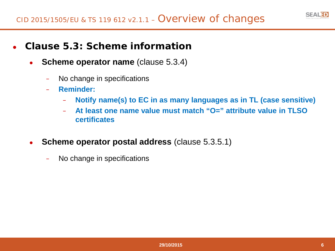

- **Clause 5.3: Scheme information**
	- **Scheme operator name** (clause 5.3.4)
		- − No change in specifications
		- − **Reminder:**
			- − **Notify name(s) to EC in as many languages as in TL (case sensitive)**
			- − **At least one name value must match "O=" attribute value in TLSO certificates**
	- **Scheme operator postal address** (clause 5.3.5.1)
		- − No change in specifications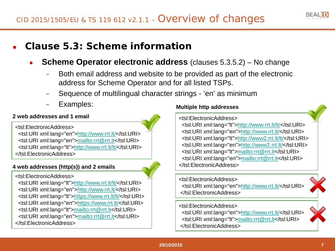

# ● **Clause 5.3: Scheme information**

- **Scheme Operator electronic address** (clauses 5.3.5.2) No change
	- Both email address and website to be provided as part of the electronic address for Scheme Operator and for all listed TSPs.
	- Sequence of multilingual character strings 'en' as minimum
	- Examples:

#### **2 web addresses and 1 email**

<tsl:ElectronicAddress> <tsl:URI xml:lang="en"[>http://www.rrt.lt/<](http://www.rrt.lt/)/tsl:URI> <tsl:URI xml:lang="en"[>mailto:rrt@rrt.lt<](mailto:rrt@rrt.lt)/tsl:URI> <tsl:URI xml:lang="lt"[>http://www.rrt.lt/lt/<](http://www.rrt.lt/lt/)/tsl:URI> </tsl:ElectronicAddress>

#### **4 web addresses (http(s)) and 2 emails**

<tsl:ElectronicAddress> <tsl:URI xml:lang="lt"[>http://www.rrt.lt/lt/<](http://www.rrt.lt/lt/)/tsl:URI> <tsl:URI xml:lang="en"[>http://www.rrt.lt/<](http://www.rrt.lt/)/tsl:URI> <tsl:URI xml:lang="lt"[>https://www.rrt.lt/lt/<](https://www.rrt.lt/lt/)/tsl:URI> <tsl:URI xml:lang="en"[>https://www.rrt.lt/<](https://www.rrt.lt/)/tsl:URI> <tsl:URI xml:lang="lt"[>mailto:rrt@rrt.lt<](mailto:rrt@rrt.lt)/tsl:URI> <tsl:URI xml:lang="en"[>mailto:rrt@rrt.lt<](mailto:rrt@rrt.lt)/tsl:URI> </tsl:ElectronicAddress>

#### **Multiple http addresses**

<tsl:ElectronicAddress>

<tsl:URI xml:lang="lt"><http://www.rrt.lt/lt/></tsl:URI> <tsl:URI xml:lang="en"><http://www.rrt.lt/></tsl:URI> <tsl:URI xml:lang="lt">[http://www2.rrt.lt/lt/<](http://www2.rrt.lt/lt/)/tsl:URI> <tsl:URI xml:lang="en">[http://www2.rrt.lt/<](http://www2.rrt.lt/)/tsl:URI> <tsl:URI xml:lang="lt"><mailto:rrt@rrt.lt></tsl:URI> <tsl:URI xml:lang="en"><mailto:rrt@rrt.lt></tsl:URI> </tsl:ElectronicAddress>

<tsl:ElectronicAddress> <tsl:URI xml:lang="en"><http://www.rrt.lt/></tsl:URI> </tsl:ElectronicAddress>

<tsl:ElectronicAddress>

<tsl:URI xml:lang="en"><http://www.rrt.lt/></tsl:URI> <tsl:URI xml:lang="lt"><mailto:rrt@rrt.lt></tsl:URI> </tsl:ElectronicAddress>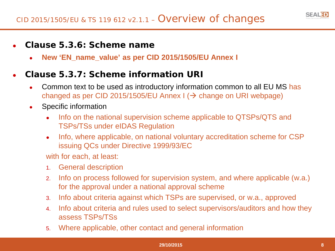### ● **Clause 5.3.6: Scheme name**

● **New 'EN\_name\_value' as per CID 2015/1505/EU Annex I**

# ● **Clause 5.3.7: Scheme information URI**

- Common text to be used as introductory information common to all EU MS has changed as per CID 2015/1505/EU Annex  $\vert \rightarrow$  change on URI webpage)
- Specific information
	- Info on the national supervision scheme applicable to QTSPs/QTS and TSPs/TSs under eIDAS Regulation
	- Info, where applicable, on national voluntary accreditation scheme for CSP issuing QCs under Directive 1999/93/EC

with for each, at least:

- 1. General description
- 2. Info on process followed for supervision system, and where applicable (w.a.) for the approval under a national approval scheme
- 3. Info about criteria against which TSPs are supervised, or w.a., approved
- 4. Info about criteria and rules used to select supervisors/auditors and how they assess TSPs/TSs
- 5. Where applicable, other contact and general information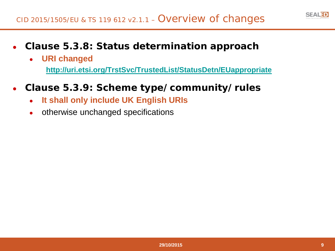

- **Clause 5.3.8: Status determination approach**
	- **URI changed <http://uri.etsi.org/TrstSvc/TrustedList/StatusDetn/EUappropriate>**
- **Clause 5.3.9: Scheme type/community/rules**
	- **It shall only include UK English URIs**
	- otherwise unchanged specifications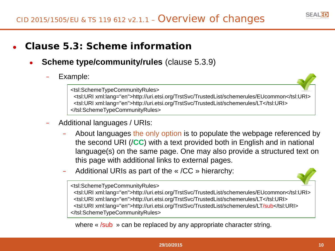

# ● **Clause 5.3: Scheme information**

- **Scheme type/community/rules (clause 5.3.9)** 
	- Example:

<tsl:SchemeTypeCommunityRules> <tsl:URI xml:lang="en">http://uri.etsi.org/TrstSvc/TrustedList/schemerules/EUcommon</tsl:URI> <tsl:URI xml:lang="en">http://uri.etsi.org/TrstSvc/TrustedList/schemerules/LT</tsl:URI> </tsl:SchemeTypeCommunityRules>

- − Additional languages / URIs:
	- About languages the only option is to populate the webpage referenced by the second URI (/**CC**) with a text provided both in English and in national language(s) on the same page. One may also provide a structured text on this page with additional links to external pages.
	- − Additional URIs as part of the « /CC » hierarchy:

<tsl:SchemeTypeCommunityRules>

<tsl:URI xml:lang="en">http://uri.etsi.org/TrstSvc/TrustedList/schemerules/EUcommon</tsl:URI> <tsl:URI xml:lang="en">http://uri.etsi.org/TrstSvc/TrustedList/schemerules/LT</tsl:URI> <tsl:URI xml:lang="en">http://uri.etsi.org/TrstSvc/TrustedList/schemerules/LT/sub</tsl:URI> </tsl:SchemeTypeCommunityRules>

where « /sub » can be replaced by any appropriate character string.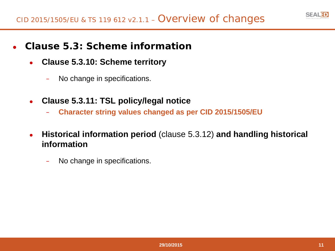

- **Clause 5.3: Scheme information**
	- **Clause 5.3.10: Scheme territory**
		- − No change in specifications.
	- **Clause 5.3.11: TSL policy/legal notice**
		- − **Character string values changed as per CID 2015/1505/EU**
	- **Historical information period** (clause 5.3.12) **and handling historical information**
		- − No change in specifications.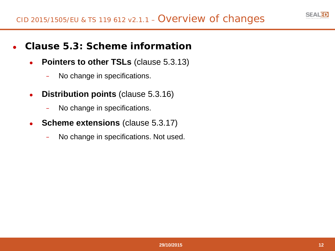

- **Clause 5.3: Scheme information**
	- **Pointers to other TSLs** (clause 5.3.13)
		- − No change in specifications.
	- **Distribution points (clause 5.3.16)** 
		- − No change in specifications.
	- **Scheme extensions** (clause 5.3.17)
		- − No change in specifications. Not used.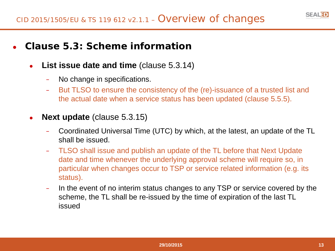# ● **Clause 5.3: Scheme information**

- **List issue date and time** (clause 5.3.14)
	- − No change in specifications.
	- − But TLSO to ensure the consistency of the (re)-issuance of a trusted list and the actual date when a service status has been updated (clause 5.5.5).
- **Next update** (clause 5.3.15)
	- − Coordinated Universal Time (UTC) by which, at the latest, an update of the TL shall be issued.
	- − TLSO shall issue and publish an update of the TL before that Next Update date and time whenever the underlying approval scheme will require so, in particular when changes occur to TSP or service related information (e.g. its status).
	- − In the event of no interim status changes to any TSP or service covered by the scheme, the TL shall be re-issued by the time of expiration of the last TL issued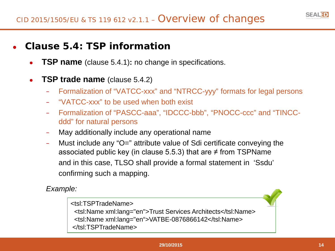

# ● **Clause 5.4: TSP information**

- **TSP name** (clause 5.4.1): no change in specifications.
- **TSP trade name** (clause 5.4.2)
	- − Formalization of "VATCC-xxx" and "NTRCC-yyy" formats for legal persons
	- − "VATCC-xxx" to be used when both exist
	- − Formalization of "PASCC-aaa", "IDCCC-bbb", "PNOCC-ccc" and "TINCCddd" for natural persons
	- − May additionally include any operational name
	- − Must include any "O=" attribute value of Sdi certificate conveying the associated public key (in clause 5.5.3) that are  $\neq$  from TSPName and in this case, TLSO shall provide a formal statement in 'Ssdu' confirming such a mapping.

*Example:*

<tsl:TSPTradeName> <tsl:Name xml:lang="en">Trust Services Architects</tsl:Name> <tsl:Name xml:lang="en">VATBE-0876866142</tsl:Name> </tsl:TSPTradeName>

#### **29/10/2015 14**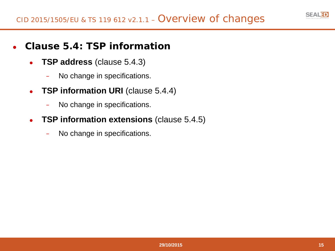

# ● **Clause 5.4: TSP information**

- **TSP address** (clause 5.4.3)
	- − No change in specifications.
- **TSP information URI** (clause 5.4.4)
	- − No change in specifications.
- **TSP information extensions** (clause 5.4.5)
	- − No change in specifications.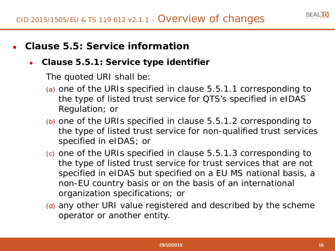

# ● **Clause 5.5: Service information**

### ● **Clause 5.5.1: Service type identifier**

- (a) one of the URIs specified in clause 5.5.1.1 corresponding to the type of listed trust service for QTS's specified in eIDAS Regulation; or
- (b) one of the URIs specified in clause 5.5.1.2 corresponding to the type of listed trust service for non-qualified trust services specified in eIDAS; or
- (c) one of the URIs specified in clause 5.5.1.3 corresponding to the type of listed trust service for trust services that are not specified in eIDAS but specified on a EU MS national basis, a non-EU country basis or on the basis of an international organization specifications; or
- (d) any other URI value registered and described by the scheme operator or another entity.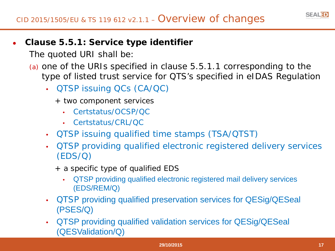

- (a) one of the URIs specified in clause 5.5.1.1 corresponding to the type of listed trust service for QTS's specified in eIDAS Regulation
	- QTSP issuing QCs (CA/QC)
		- + two component services
			- Certstatus/OCSP/QC
			- Certstatus/CRL/QC
	- QTSP issuing qualified time stamps (TSA/QTST)
	- QTSP providing qualified electronic registered delivery services (EDS/Q)
		- + a specific type of qualified EDS
			- QTSP providing qualified electronic registered mail delivery services (EDS/REM/Q)
	- QTSP providing qualified preservation services for QESig/QESeal (PSES/Q)
	- QTSP providing qualified validation services for QESig/QESeal (QESValidation/Q)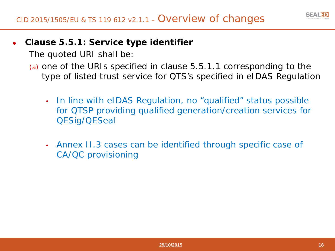

- (a) one of the URIs specified in clause 5.5.1.1 corresponding to the type of listed trust service for QTS's specified in eIDAS Regulation
	- In line with eIDAS Regulation, no "qualified" status possible for QTSP providing qualified generation/creation services for QESig/QESeal
	- Annex II.3 cases can be identified through specific case of CA/QC provisioning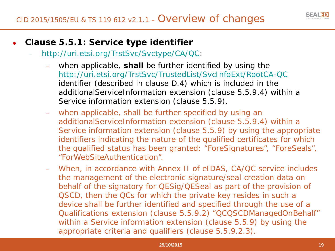

- **Clause 5.5.1: Service type identifier**
	- − <http://uri.etsi.org/TrstSvc/Svctype/CA/QC>:
		- when applicable, **shall** be further identified by using the <http://uri.etsi.org/TrstSvc/TrustedList/SvcInfoExt/RootCA-QC> identifier (described in clause D.4) which is included in the additionalServiceInformation extension (clause 5.5.9.4) within a Service information extension (clause 5.5.9).
		- when applicable, shall be further specified by using an additionalServiceInformation extension (clause 5.5.9.4) within a Service information extension (clause 5.5.9) by using the appropriate identifiers indicating the nature of the qualified certificates for which the qualified status has been granted: "ForeSignatures", "ForeSeals", "ForWebSiteAuthentication".
		- − When, in accordance with Annex II of eIDAS, CA/QC service includes the management of the electronic signature/seal creation data on behalf of the signatory for QESig/QESeal as part of the provision of QSCD, then the QCs for which the private key resides in such a device shall be further identified and specified through the use of a Qualifications extension (clause 5.5.9.2) "QCQSCDManagedOnBehalf" within a Service information extension (clause 5.5.9) by using the appropriate criteria and qualifiers (clause 5.5.9.2.3).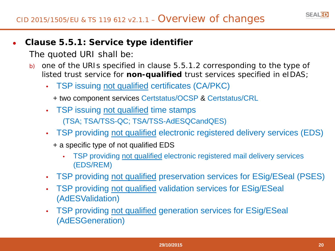- b) one of the URIs specified in clause 5.5.1.2 corresponding to the type of listed trust service for **non-qualified** trust services specified in eIDAS;
	- TSP issuing not qualified certificates (CA/PKC)
		- + two component services Certstatus/OCSP & Certstatus/CRL
	- TSP issuing not qualified time stamps (TSA; TSA/TSS-QC; TSA/TSS-AdESQCandQES)
	- TSP providing not qualified electronic registered delivery services (EDS)
		- + a specific type of not qualified EDS
			- TSP providing not qualified electronic registered mail delivery services (EDS/REM)
	- TSP providing not qualified preservation services for ESig/ESeal (PSES)
	- TSP providing not qualified validation services for ESig/ESeal (AdESValidation)
	- TSP providing not qualified generation services for ESig/ESeal (AdESGeneration)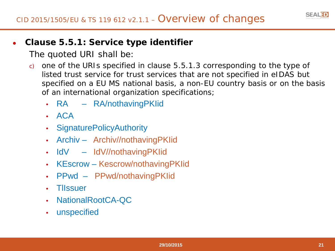- c) one of the URIs specified in clause 5.5.1.3 corresponding to the type of listed trust service for trust services that are not specified in eIDAS but specified on a EU MS national basis, a non-EU country basis or on the basis of an international organization specifications;
	- RA RA/nothavingPKIid
	- ACA
	- SignaturePolicyAuthority
	- Archiv Archiv//nothavingPKIid
	- IdV IdV//nothavingPKIid
	- KEscrow Kescrow/nothavingPKIid
	- PPwd PPwd/nothavingPKIid
	- TlIssuer
	- NationalRootCA-QC
	- unspecified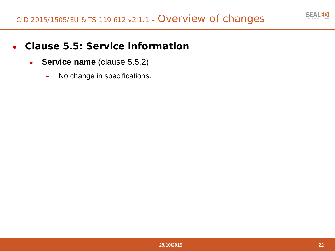

# ● **Clause 5.5: Service information**

- **Service name** (clause 5.5.2)
	- − No change in specifications.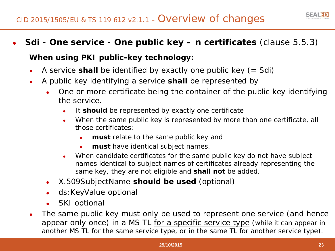

#### **When using PKI public-key technology:**

- A service **shall** be identified by exactly one public key  $(= Sdi)$
- A public key identifying a service **shall** be represented by
	- One or more certificate being the container of the public key identifying the service.
		- It **should** be represented by exactly one certificate
		- When the same public key is represented by more than one certificate, all those certificates:
			- **must** relate to the same public key and
			- **must** have identical subject names.
		- When candidate certificates for the same public key do not have subject names identical to subject names of certificates already representing the same key, they are not eligible and **shall not** be added.
	- X.509SubjectName **should be used** (optional)
	- ds: KeyValue optional
	- **SKI** optional
- The same public key must only be used to represent one service (and hence appear only once) in a MS TL for a specific service type (while it can appear in another MS TL for the same service type, or in the same TL for another service type).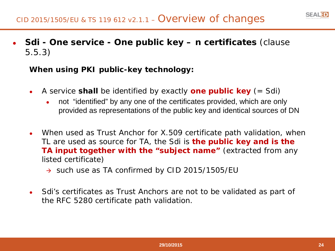● **Sdi - One service - One public key – n certificates** (clause 5.5.3)

**When using PKI public-key technology:**

- A service **shall** be identified by exactly **one public key** (= Sdi)
	- not "identified" by any one of the certificates provided, which are only provided as representations of the public key and identical sources of DN
- When used as Trust Anchor for X.509 certificate path validation, when TL are used as source for TA, the Sdi is **the public key and is the TA input together with the "subject name"** (extracted from any listed certificate)
	- $\rightarrow$  such use as TA confirmed by CID 2015/1505/EU
- Sdi's certificates as Trust Anchors are not to be validated as part of the RFC 5280 certificate path validation.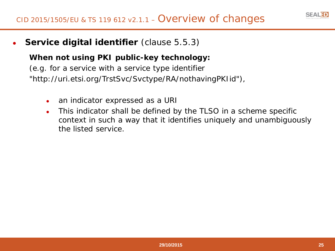

**Service digital identifier** (clause 5.5.3)

#### **When not using PKI public-key technology:**

(e.g. for a service with a service type identifier "http://uri.etsi.org/TrstSvc/Svctype/RA/nothavingPKIid"),

- an indicator expressed as a URI
- This indicator shall be defined by the TLSO in a scheme specific context in such a way that it identifies uniquely and unambiguously the listed service.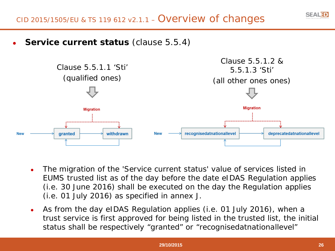

**Service current status (clause 5.5.4)** 



- The migration of the 'Service current status' value of services listed in EUMS trusted list as of the day before the date eIDAS Regulation applies (i.e. 30 June 2016) shall be executed on the day the Regulation applies (i.e. 01 July 2016) as specified in annex J.
- As from the day eIDAS Regulation applies (i.e. 01 July 2016), when a trust service is first approved for being listed in the trusted list, the initial status shall be respectively "granted" or "recognisedatnationallevel"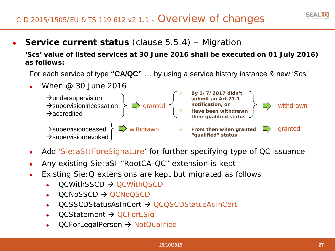# CID 2015/1505/EU & TS 119 612 v2.1.1 – Overview of changes

**Service current status** (clause 5.5.4) – Migration

**'Scs' value of listed services at 30 June 2016 shall be executed on 01 July 2016) as follows:**

For each service of type **"CA/QC"** … by using a service history instance & new 'Scs'



- Add 'Sie: aSI: ForeSignature' for further specifying type of QC issuance
- Any existing Sie: aSI "RootCA-QC" extension is kept
- Existing Sie: Q extensions are kept but migrated as follows
	- $OCWithSSCD \rightarrow OCWithOSCD$
	- $QCNOSSCD \rightarrow QCNOOSCD$
	- OCSSCDStatusAsInCert → OCOSCDStatusAsInCert
	- $QCStatement \rightarrow QCForESig$
	- QCForLegalPerson → NotQualified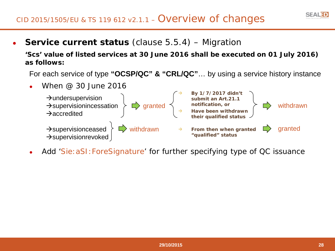# CID 2015/1505/EU & TS 119 612 v2.1.1 – Overview of changes

**Service current status** (clause 5.5.4) – Migration

**'Scs' value of listed services at 30 June 2016 shall be executed on 01 July 2016) as follows:**

For each service of type **"OCSP/QC" & "CRL/QC"**… by using a service history instance



Add 'Sie: aSI: ForeSignature' for further specifying type of QC issuance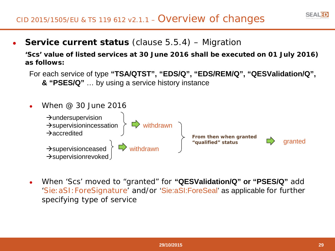# CID 2015/1505/EU & TS 119 612 v2.1.1 – Overview of changes

**Service current status** (clause 5.5.4) – Migration

**'Scs' value of listed services at 30 June 2016 shall be executed on 01 July 2016) as follows:**

For each service of type **"TSA/QTST", "EDS/Q", "EDS/REM/Q", "QESValidation/Q", & "PSES/Q"** … by using a service history instance



● When 'Scs' moved to "granted" for **"QESValidation/Q" or "PSES/Q"** add 'Sie:aSI:ForeSignature' and/or 'Sie:aSI:ForeSeal' as applicable for further specifying type of service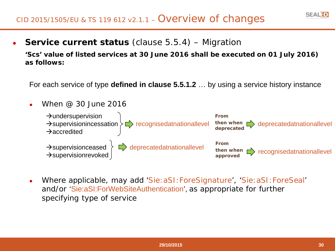**Service current status** (clause 5.5.4) – Migration

**'Scs' value of listed services at 30 June 2016 shall be executed on 01 July 2016) as follows:**

For each service of type **defined in clause 5.5.1.2** … by using a service history instance

- When  $@30$  June 2016  $\rightarrow$ undersupervision  $\rightarrow$ supervisionincessation  $\rangle \Box \rightarrow$  recognisedatnationallevel  $\rightarrow$ accredited  $\rightarrow$ supervisionceased  $\left.\right\}$   $\rightarrow$  deprecatedatnationallevel  $\rightarrow$ supervisionrevoked **From then when deprecated** deprecatedatnationallevel **From**  then when **bedies approved** recognisedatnationallevel
- Where applicable, may add 'Sie:aSI:ForeSignature', 'Sie:aSI:ForeSeal' and/or 'Sie:aSI:ForWebSiteAuthentication', as appropriate for further specifying type of service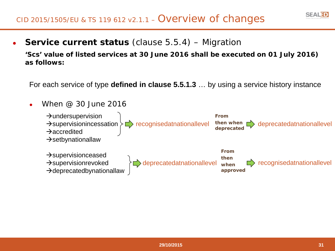**Service current status** (clause 5.5.4) – Migration

**'Scs' value of listed services at 30 June 2016 shall be executed on 01 July 2016) as follows:**

For each service of type **defined in clause 5.5.1.3** … by using a service history instance

When  $@30$  June 2016  $\rightarrow$ undersupervision  $\rightarrow$ supervisionincessation  $\rangle \Box \rightarrow$  recognisedatnationallevel  $\rightarrow$ accredited  $\rightarrow$ setbynationallaw  $\rightarrow$ supervisionceased  $\rightarrow$ supervisionrevoked  $\leftarrow$  deprecatedatnationallevel  $\rightarrow$ supervisionrevoked<br>  $\rightarrow$ deprecatedbynationallaw **From then when deprecated** deprecatedatnationallevel **From then when approved**  $\Rightarrow$  recognisedatnationallevel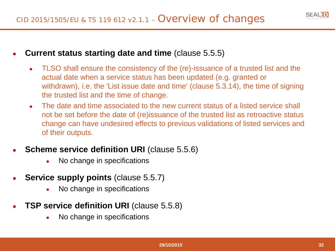

#### **Current status starting date and time (clause 5.5.5)**

- TLSO shall ensure the consistency of the (re)-issuance of a trusted list and the actual date when a service status has been updated (e.g. granted or withdrawn), i.e. the 'List issue date and time' (clause 5.3.14), the time of signing the trusted list and the time of change.
- The date and time associated to the new current status of a listed service shall not be set before the date of (re)issuance of the trusted list as retroactive status change can have undesired effects to previous validations of listed services and of their outputs.
- **Scheme service definition URI (clause 5.5.6)** 
	- No change in specifications
- **Service supply points (clause 5.5.7)** 
	- No change in specifications
- **TSP service definition URI** (clause 5.5.8)
	- No change in specifications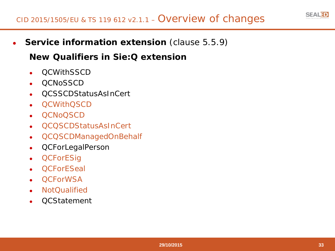

**Service information extension** (clause 5.5.9)

# **New Qualifiers in Sie:Q extension**

- **OCWithSSCD**
- QCNoSSCD
- QCSSCDStatusAsInCert
- **OCWithOSCD**
- OCN<sub>o</sub>OSCD
- QCQSCDStatusAsInCert
- QCQSCDManagedOnBehalf
- **QCForLegalPerson**
- **QCForESig**
- **OCForESeal**
- **OCForWSA**
- **NotQualified**
- **QCStatement**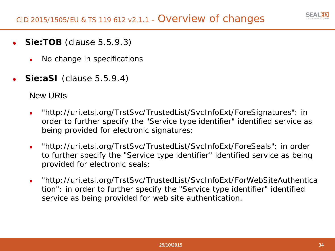

- **Sie:TOB** (clause 5.5.9.3)
	- No change in specifications
- **Sie:aSI** (clause 5.5.9.4)

#### New URIs

- "http://uri.etsi.org/TrstSvc/TrustedList/SvcInfoExt/ForeSignatures": in order to further specify the "Service type identifier" identified service as being provided for electronic signatures;
- "http://uri.etsi.org/TrstSvc/TrustedList/SvcInfoExt/ForeSeals": in order to further specify the "Service type identifier" identified service as being provided for electronic seals;
- "http://uri.etsi.org/TrstSvc/TrustedList/SvcInfoExt/ForWebSiteAuthentica tion": in order to further specify the "Service type identifier" identified service as being provided for web site authentication.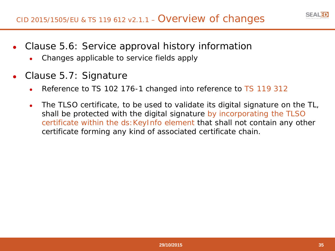

- Clause 5.6: Service approval history information
	- Changes applicable to service fields apply
- Clause 5.7: Signature
	- Reference to TS 102 176-1 changed into reference to TS 119 312
	- The TLSO certificate, to be used to validate its digital signature on the TL, shall be protected with the digital signature by incorporating the TLSO certificate within the ds:KeyInfo element that shall not contain any other certificate forming any kind of associated certificate chain.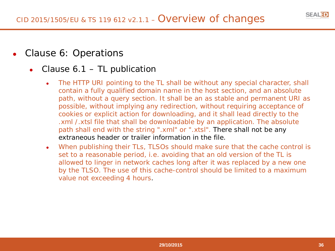

- Clause 6: Operations
	- Clause  $6.1$  TL publication
		- The HTTP URI pointing to the TL shall be without any special character, shall contain a fully qualified domain name in the host section, and an absolute path, without a query section. It shall be an as stable and permanent URI as possible, without implying any redirection, without requiring acceptance of cookies or explicit action for downloading, and it shall lead directly to the .xml /.xtsl file that shall be downloadable by an application. The absolute path shall end with the string ".xml" or ".xtsl". There shall not be any extraneous header or trailer information in the file.
		- When publishing their TLs, TLSOs should make sure that the cache control is set to a reasonable period, i.e. avoiding that an old version of the TL is allowed to linger in network caches long after it was replaced by a new one by the TLSO. The use of this cache-control should be limited to a maximum value not exceeding 4 hours.